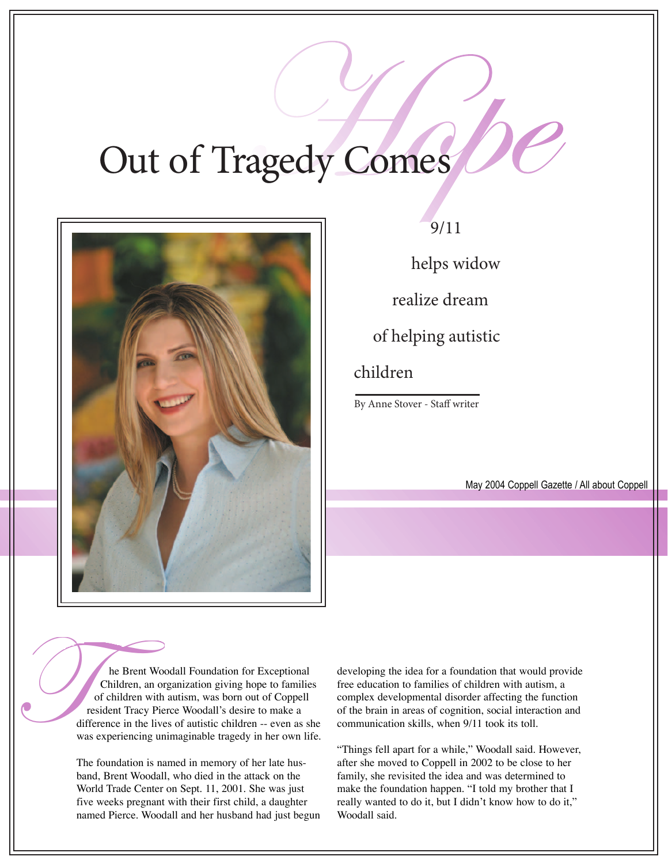## Out of Tragedy Comes



## 9/11

helps widow

realize dream

of helping autistic

## children

By Anne Stover - Staff writer

May 2004 Coppell Gazette / All about Coppell

he Brent Woodall Foundation for Exceptional Children, an organization giving hope to families of children with autism, was born out of Coppell resident Tracy Pierce Woodall's desire to make a difference in the lives of autistic children -- even as she was experiencing unimaginable tragedy in her own life.

The foundation is named in memory of her late husband, Brent Woodall, who died in the attack on the World Trade Center on Sept. 11, 2001. She was just five weeks pregnant with their first child, a daughter named Pierce. Woodall and her husband had just begun developing the idea for a foundation that would provide free education to families of children with autism, a complex developmental disorder affecting the function of the brain in areas of cognition, social interaction and communication skills, when 9/11 took its toll.

"Things fell apart for a while," Woodall said. However, after she moved to Coppell in 2002 to be close to her family, she revisited the idea and was determined to make the foundation happen. "I told my brother that I really wanted to do it, but I didn't know how to do it," Woodall said.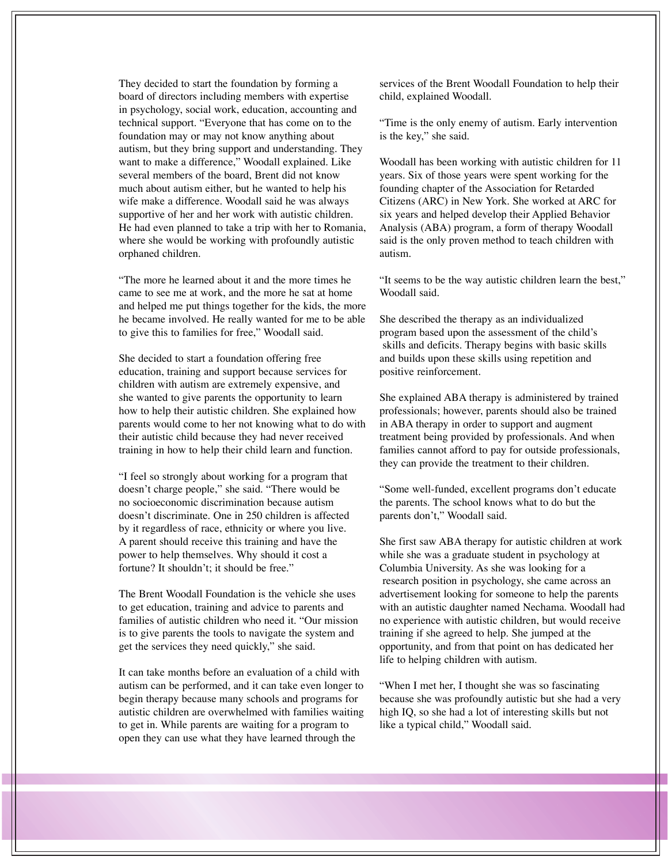They decided to start the foundation by forming a board of directors including members with expertise in psychology, social work, education, accounting and technical support. "Everyone that has come on to the foundation may or may not know anything about autism, but they bring support and understanding. They want to make a difference," Woodall explained. Like several members of the board, Brent did not know much about autism either, but he wanted to help his wife make a difference. Woodall said he was always supportive of her and her work with autistic children. He had even planned to take a trip with her to Romania, where she would be working with profoundly autistic orphaned children.

"The more he learned about it and the more times he came to see me at work, and the more he sat at home and helped me put things together for the kids, the more he became involved. He really wanted for me to be able to give this to families for free," Woodall said.

She decided to start a foundation offering free education, training and support because services for children with autism are extremely expensive, and she wanted to give parents the opportunity to learn how to help their autistic children. She explained how parents would come to her not knowing what to do with their autistic child because they had never received training in how to help their child learn and function.

"I feel so strongly about working for a program that doesn't charge people," she said. "There would be no socioeconomic discrimination because autism doesn't discriminate. One in 250 children is affected by it regardless of race, ethnicity or where you live. A parent should receive this training and have the power to help themselves. Why should it cost a fortune? It shouldn't: it should be free."

The Brent Woodall Foundation is the vehicle she uses to get education, training and advice to parents and families of autistic children who need it. "Our mission is to give parents the tools to navigate the system and get the services they need quickly," she said.

It can take months before an evaluation of a child with autism can be performed, and it can take even longer to begin therapy because many schools and programs for autistic children are overwhelmed with families waiting to get in. While parents are waiting for a program to open they can use what they have learned through the

services of the Brent Woodall Foundation to help their child, explained Woodall.

ìTime is the only enemy of autism. Early intervention is the key," she said.

Woodall has been working with autistic children for 11 years. Six of those years were spent working for the founding chapter of the Association for Retarded Citizens (ARC) in New York. She worked at ARC for six years and helped develop their Applied Behavior Analysis (ABA) program, a form of therapy Woodall said is the only proven method to teach children with autism.

"It seems to be the way autistic children learn the best," Woodall said.

She described the therapy as an individualized program based upon the assessment of the child's skills and deficits. Therapy begins with basic skills and builds upon these skills using repetition and positive reinforcement.

She explained ABA therapy is administered by trained professionals; however, parents should also be trained in ABA therapy in order to support and augment treatment being provided by professionals. And when families cannot afford to pay for outside professionals, they can provide the treatment to their children.

"Some well-funded, excellent programs don't educate the parents. The school knows what to do but the parents don't," Woodall said.

She first saw ABA therapy for autistic children at work while she was a graduate student in psychology at Columbia University. As she was looking for a research position in psychology, she came across an advertisement looking for someone to help the parents with an autistic daughter named Nechama. Woodall had no experience with autistic children, but would receive training if she agreed to help. She jumped at the opportunity, and from that point on has dedicated her life to helping children with autism.

ìWhen I met her, I thought she was so fascinating because she was profoundly autistic but she had a very high IQ, so she had a lot of interesting skills but not like a typical child," Woodall said.